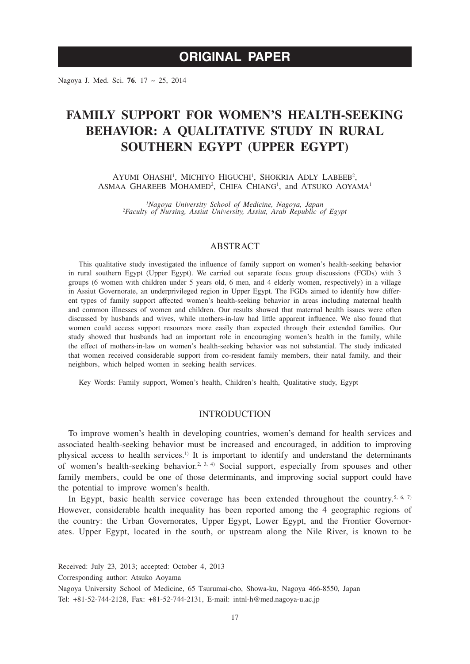Nagoya J. Med. Sci. **76**. 17 ~ 25, 2014

# **FAMILY SUPPORT FOR WOMEN'S HEALTH-SEEKING BEHAVIOR: A QUALITATIVE STUDY IN RURAL SOUTHERN EGYPT (UPPER EGYPT)**

AYUMI OHASHI<sup>1</sup>, MICHIYO HIGUCHI<sup>1</sup>, SHOKRIA ADLY LABEEB<sup>2</sup>, ASMAA GHAREEB MOHAMED<sup>2</sup>, CHIFA CHIANG<sup>1</sup>, and ATSUKO AOYAMA<sup>1</sup>

*1 Nagoya University School of Medicine, Nagoya, Japan <sup>2</sup> Faculty of Nursing, Assiut University, Assiut, Arab Republic of Egypt*

# ABSTRACT

This qualitative study investigated the influence of family support on women's health-seeking behavior in rural southern Egypt (Upper Egypt). We carried out separate focus group discussions (FGDs) with 3 groups (6 women with children under 5 years old, 6 men, and 4 elderly women, respectively) in a village in Assiut Governorate, an underprivileged region in Upper Egypt. The FGDs aimed to identify how different types of family support affected women's health-seeking behavior in areas including maternal health and common illnesses of women and children. Our results showed that maternal health issues were often discussed by husbands and wives, while mothers-in-law had little apparent influence. We also found that women could access support resources more easily than expected through their extended families. Our study showed that husbands had an important role in encouraging women's health in the family, while the effect of mothers-in-law on women's health-seeking behavior was not substantial. The study indicated that women received considerable support from co-resident family members, their natal family, and their neighbors, which helped women in seeking health services.

Key Words: Family support, Women's health, Children's health, Qualitative study, Egypt

# INTRODUCTION

To improve women's health in developing countries, women's demand for health services and associated health-seeking behavior must be increased and encouraged, in addition to improving physical access to health services.<sup>1)</sup> It is important to identify and understand the determinants of women's health-seeking behavior.<sup>2, 3, 4)</sup> Social support, especially from spouses and other family members, could be one of those determinants, and improving social support could have the potential to improve women's health.

In Egypt, basic health service coverage has been extended throughout the country.<sup>5, 6, 7)</sup> However, considerable health inequality has been reported among the 4 geographic regions of the country: the Urban Governorates, Upper Egypt, Lower Egypt, and the Frontier Governorates. Upper Egypt, located in the south, or upstream along the Nile River, is known to be

Corresponding author: Atsuko Aoyama

Received: July 23, 2013; accepted: October 4, 2013

Nagoya University School of Medicine, 65 Tsurumai-cho, Showa-ku, Nagoya 466-8550, Japan

Tel: +81-52-744-2128, Fax: +81-52-744-2131, E-mail: intnl-h@med.nagoya-u.ac.jp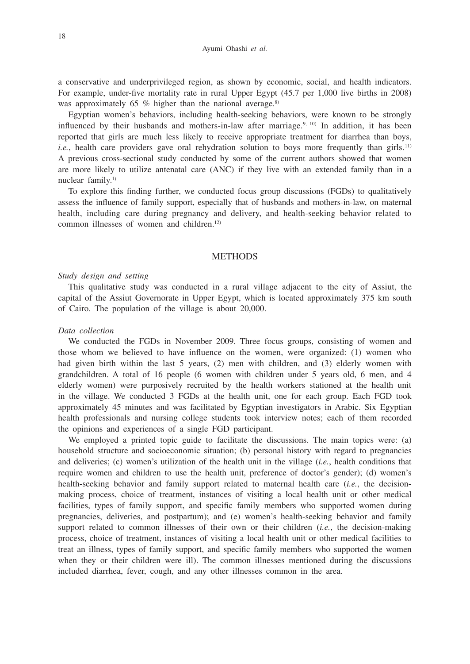a conservative and underprivileged region, as shown by economic, social, and health indicators. For example, under-five mortality rate in rural Upper Egypt (45.7 per 1,000 live births in 2008) was approximately 65 % higher than the national average.<sup>8)</sup>

Egyptian women's behaviors, including health-seeking behaviors, were known to be strongly influenced by their husbands and mothers-in-law after marriage.<sup>9, 10</sup> In addition, it has been reported that girls are much less likely to receive appropriate treatment for diarrhea than boys, *i.e.*, health care providers gave oral rehydration solution to boys more frequently than girls.<sup>11)</sup> A previous cross-sectional study conducted by some of the current authors showed that women are more likely to utilize antenatal care (ANC) if they live with an extended family than in a nuclear family.1)

To explore this finding further, we conducted focus group discussions (FGDs) to qualitatively assess the influence of family support, especially that of husbands and mothers-in-law, on maternal health, including care during pregnancy and delivery, and health-seeking behavior related to common illnesses of women and children.12)

## **METHODS**

## *Study design and setting*

This qualitative study was conducted in a rural village adjacent to the city of Assiut, the capital of the Assiut Governorate in Upper Egypt, which is located approximately 375 km south of Cairo. The population of the village is about 20,000.

## *Data collection*

We conducted the FGDs in November 2009. Three focus groups, consisting of women and those whom we believed to have influence on the women, were organized: (1) women who had given birth within the last 5 years, (2) men with children, and (3) elderly women with grandchildren. A total of 16 people (6 women with children under 5 years old, 6 men, and 4 elderly women) were purposively recruited by the health workers stationed at the health unit in the village. We conducted 3 FGDs at the health unit, one for each group. Each FGD took approximately 45 minutes and was facilitated by Egyptian investigators in Arabic. Six Egyptian health professionals and nursing college students took interview notes; each of them recorded the opinions and experiences of a single FGD participant.

We employed a printed topic guide to facilitate the discussions. The main topics were: (a) household structure and socioeconomic situation; (b) personal history with regard to pregnancies and deliveries; (c) women's utilization of the health unit in the village (*i.e.*, health conditions that require women and children to use the health unit, preference of doctor's gender); (d) women's health-seeking behavior and family support related to maternal health care (*i.e.*, the decisionmaking process, choice of treatment, instances of visiting a local health unit or other medical facilities, types of family support, and specific family members who supported women during pregnancies, deliveries, and postpartum); and (e) women's health-seeking behavior and family support related to common illnesses of their own or their children (*i.e.*, the decision-making process, choice of treatment, instances of visiting a local health unit or other medical facilities to treat an illness, types of family support, and specific family members who supported the women when they or their children were ill). The common illnesses mentioned during the discussions included diarrhea, fever, cough, and any other illnesses common in the area.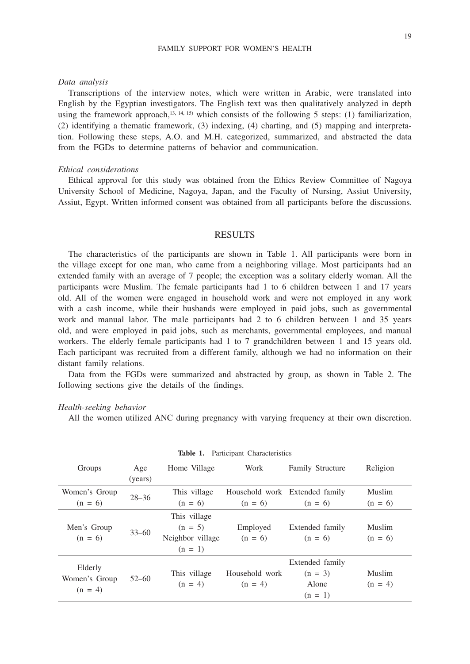#### FAMILY SUPPORT FOR WOMEN'S HEALTH

## *Data analysis*

Transcriptions of the interview notes, which were written in Arabic, were translated into English by the Egyptian investigators. The English text was then qualitatively analyzed in depth using the framework approach,<sup>13, 14, 15)</sup> which consists of the following 5 steps: (1) familiarization, (2) identifying a thematic framework, (3) indexing, (4) charting, and (5) mapping and interpretation. Following these steps, A.O. and M.H. categorized, summarized, and abstracted the data from the FGDs to determine patterns of behavior and communication.

## *Ethical considerations*

Ethical approval for this study was obtained from the Ethics Review Committee of Nagoya University School of Medicine, Nagoya, Japan, and the Faculty of Nursing, Assiut University, Assiut, Egypt. Written informed consent was obtained from all participants before the discussions.

# RESULTS

The characteristics of the participants are shown in Table 1. All participants were born in the village except for one man, who came from a neighboring village. Most participants had an extended family with an average of 7 people; the exception was a solitary elderly woman. All the participants were Muslim. The female participants had 1 to 6 children between 1 and 17 years old. All of the women were engaged in household work and were not employed in any work with a cash income, while their husbands were employed in paid jobs, such as governmental work and manual labor. The male participants had 2 to 6 children between 1 and 35 years old, and were employed in paid jobs, such as merchants, governmental employees, and manual workers. The elderly female participants had 1 to 7 grandchildren between 1 and 15 years old. Each participant was recruited from a different family, although we had no information on their distant family relations.

Data from the FGDs were summarized and abstracted by group, as shown in Table 2. The following sections give the details of the findings.

#### *Health-seeking behavior*

All the women utilized ANC during pregnancy with varying frequency at their own discretion.

| Table 1. Participant Characteristics  |           |                                                            |                             |                                                    |                     |  |
|---------------------------------------|-----------|------------------------------------------------------------|-----------------------------|----------------------------------------------------|---------------------|--|
| Groups                                | Age       | Home Village                                               | Work                        | Family Structure                                   | Religion            |  |
|                                       | (years)   |                                                            |                             |                                                    |                     |  |
| Women's Group                         | $28 - 36$ | This village                                               |                             | Household work Extended family                     | Muslim              |  |
| $(n = 6)$                             |           | $(n = 6)$                                                  | $(n = 6)$                   | $(n = 6)$                                          | $(n = 6)$           |  |
| Men's Group<br>$(n = 6)$              | $33 - 60$ | This village<br>$(n = 5)$<br>Neighbor village<br>$(n = 1)$ | Employed<br>$(n = 6)$       | Extended family<br>$(n = 6)$                       | Muslim<br>$(n = 6)$ |  |
| Elderly<br>Women's Group<br>$(n = 4)$ | $52 - 60$ | This village<br>$(n = 4)$                                  | Household work<br>$(n = 4)$ | Extended family<br>$(n = 3)$<br>Alone<br>$(n = 1)$ | Muslim<br>$(n = 4)$ |  |

**Table 1.** Participant Characteristics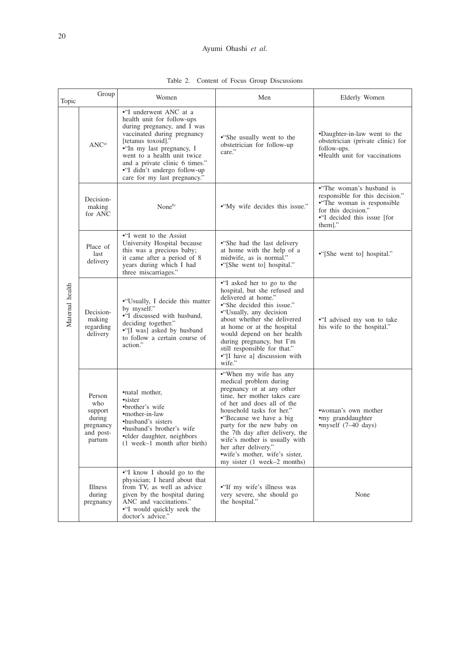# Ayumi Ohashi *et al.*

| Topic           | Group                                                                  | Women                                                                                                                                                                                                                                                                                                  | Men                                                                                                                                                                                                                                                                                                                                                                                            | Elderly Women                                                                                                                                              |
|-----------------|------------------------------------------------------------------------|--------------------------------------------------------------------------------------------------------------------------------------------------------------------------------------------------------------------------------------------------------------------------------------------------------|------------------------------------------------------------------------------------------------------------------------------------------------------------------------------------------------------------------------------------------------------------------------------------------------------------------------------------------------------------------------------------------------|------------------------------------------------------------------------------------------------------------------------------------------------------------|
|                 | ANC <sup>a</sup>                                                       | •"I underwent ANC at a<br>health unit for follow-ups<br>during pregnancy, and I was<br>vaccinated during pregnancy<br>[tetanus toxoid]."<br>•"In my last pregnancy, I<br>went to a health unit twice<br>and a private clinic 6 times."<br>•"I didn't undergo follow-up<br>care for my last pregnancy." | • She usually went to the<br>obstetrician for follow-up<br>care."                                                                                                                                                                                                                                                                                                                              | •Daughter-in-law went to the<br>obstetrician (private clinic) for<br>follow-ups.<br>•Health unit for vaccinations                                          |
| Maternal health | Decision-<br>making<br>for ANC                                         | None <sup>b)</sup>                                                                                                                                                                                                                                                                                     | •"My wife decides this issue."                                                                                                                                                                                                                                                                                                                                                                 | •"The woman's husband is<br>responsible for this decision."<br>• The woman is responsible<br>for this decision."<br>•"I decided this issue [for<br>them]." |
|                 | Place of<br>last<br>delivery                                           | •"I went to the Assiut<br>University Hospital because<br>this was a precious baby;<br>it came after a period of 8<br>years during which I had<br>three miscarriages."                                                                                                                                  | • She had the last delivery<br>at home with the help of a<br>midwife, as is normal."<br>•"[She went to] hospital."                                                                                                                                                                                                                                                                             | •"[She went to] hospital."                                                                                                                                 |
|                 | Decision-<br>making<br>regarding<br>delivery                           | • "Usually, I decide this matter<br>by myself."<br>•"I discussed with husband,<br>deciding together."<br>•"[I was] asked by husband<br>to follow a certain course of<br>action."                                                                                                                       | •"I asked her to go to the<br>hospital, but she refused and<br>delivered at home."<br>• She decided this issue."<br>• "Usually, any decision"<br>about whether she delivered<br>at home or at the hospital<br>would depend on her health<br>during pregnancy, but I'm<br>still responsible for that."<br>•"[I have a] discussion with<br>wife."                                                | •"I advised my son to take<br>his wife to the hospital."                                                                                                   |
|                 | Person<br>who<br>support<br>during<br>pregnancy<br>and post-<br>partum | •natal mother,<br>•sister<br>•brother's wife<br>•mother-in-law<br>•husband's sisters<br>•husband's brother's wife<br>•elder daughter, neighbors<br>(1 week-1 month after birth)                                                                                                                        | • "When my wife has any<br>medical problem during<br>pregnancy or at any other<br>time, her mother takes care<br>of her and does all of the<br>household tasks for her."<br>• Because we have a big<br>party for the new baby on<br>the 7th day after delivery, the<br>wife's mother is usually with<br>her after delivery."<br>• wife's mother, wife's sister,<br>my sister (1 week–2 months) | •woman's own mother<br>•my granddaughter<br>$\epsilon$ myself (7–40 days)                                                                                  |
|                 | Illness<br>during<br>pregnancy                                         | •"I know I should go to the<br>physician; I heard about that<br>from TV, as well as advice<br>given by the hospital during<br>ANC and vaccinations."<br>•"I would quickly seek the<br>doctor's advice."                                                                                                | • "If my wife's illness was<br>very severe, she should go<br>the hospital."                                                                                                                                                                                                                                                                                                                    | None                                                                                                                                                       |

Table 2. Content of Focus Group Discussions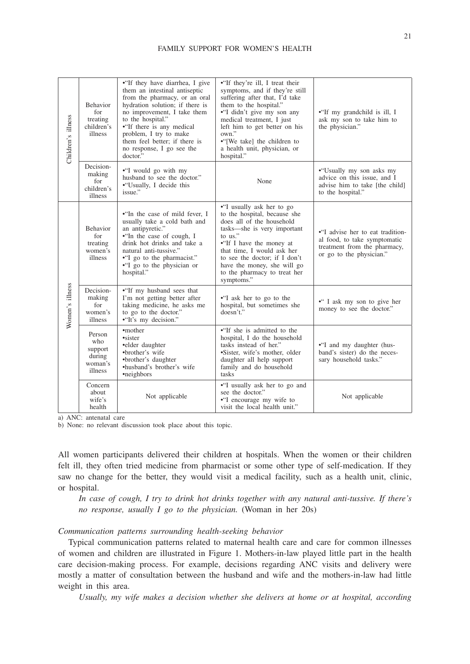#### FAMILY SUPPORT FOR WOMEN'S HEALTH

| Children's illness | <b>Behavior</b><br>for<br>treating<br>children's<br>illness | •"If they have diarrhea, I give<br>them an intestinal antiseptic<br>from the pharmacy, or an oral<br>hydration solution; if there is<br>no improvement, I take them<br>to the hospital."<br>•"If there is any medical<br>problem, I try to make<br>them feel better; if there is<br>no response, I go see the<br>doctor. <sup>7</sup> | • "If they're ill, I treat their<br>symptoms, and if they're still<br>suffering after that, I'd take<br>them to the hospital."<br>•"I didn't give my son any<br>medical treatment, I just<br>left him to get better on his<br>own."<br>•"[We take] the children to<br>a health unit, physician, or<br>hospital."        | • "If my grandchild is ill, I<br>ask my son to take him to<br>the physician."                                                |
|--------------------|-------------------------------------------------------------|---------------------------------------------------------------------------------------------------------------------------------------------------------------------------------------------------------------------------------------------------------------------------------------------------------------------------------------|-------------------------------------------------------------------------------------------------------------------------------------------------------------------------------------------------------------------------------------------------------------------------------------------------------------------------|------------------------------------------------------------------------------------------------------------------------------|
|                    | Decision-<br>making<br>for<br>children's<br>illness         | •"I would go with my<br>husband to see the doctor."<br>• "Usually, I decide this<br>issue."                                                                                                                                                                                                                                           | None                                                                                                                                                                                                                                                                                                                    | •"Usually my son asks my<br>advice on this issue, and I<br>advise him to take [the child]<br>to the hospital."               |
| Women's illness    | <b>Behavior</b><br>for<br>treating<br>women's<br>illness    | • In the case of mild fever. I<br>usually take a cold bath and<br>an antipyretic."<br>•"In the case of cough, I<br>drink hot drinks and take a<br>natural anti-tussive."<br>•"I go to the pharmacist."<br>•"I go to the physician or<br>hospital."                                                                                    | •"I usually ask her to go<br>to the hospital, because she<br>does all of the household<br>tasks-she is very important<br>to $\overline{u}$ is."<br>•"If I have the money at<br>that time, I would ask her<br>to see the doctor: if I don't<br>have the money, she will go<br>to the pharmacy to treat her<br>symptoms." | •"I advise her to eat tradition-<br>al food, to take symptomatic<br>treatment from the pharmacy,<br>or go to the physician." |
|                    | Decision-<br>making<br>for<br>women's<br>illness            | •"If my husband sees that<br>I'm not getting better after<br>taking medicine, he asks me<br>to go to the doctor."<br>•"It's my decision."                                                                                                                                                                                             | •"I ask her to go to the<br>hospital, but sometimes she<br>doesn't."                                                                                                                                                                                                                                                    | •" I ask my son to give her<br>money to see the doctor."                                                                     |
|                    | Person<br>who<br>support<br>during<br>woman's<br>illness    | •mother<br>•sister<br>•elder daughter<br>•brother's wife<br>•brother's daughter<br>•husband's brother's wife<br>•neighbors                                                                                                                                                                                                            | • If she is admitted to the<br>hospital, I do the household<br>tasks instead of her."<br>•Sister, wife's mother, older<br>daughter all help support<br>family and do household<br>tasks                                                                                                                                 | •"I and my daughter (hus-<br>band's sister) do the neces-<br>sary household tasks."                                          |
|                    | Concern<br>about<br>wife's<br>health                        | Not applicable                                                                                                                                                                                                                                                                                                                        | •"I usually ask her to go and<br>see the doctor."<br>•"I encourage my wife to<br>visit the local health unit."                                                                                                                                                                                                          | Not applicable                                                                                                               |

a) ANC: antenatal care

b) None: no relevant discussion took place about this topic.

All women participants delivered their children at hospitals. When the women or their children felt ill, they often tried medicine from pharmacist or some other type of self-medication. If they saw no change for the better, they would visit a medical facility, such as a health unit, clinic, or hospital.

*In case of cough, I try to drink hot drinks together with any natural anti-tussive. If there's no response, usually I go to the physician.* (Woman in her 20s)

# *Communication patterns surrounding health-seeking behavior*

Typical communication patterns related to maternal health care and care for common illnesses of women and children are illustrated in Figure 1. Mothers-in-law played little part in the health care decision-making process. For example, decisions regarding ANC visits and delivery were mostly a matter of consultation between the husband and wife and the mothers-in-law had little weight in this area.

*Usually, my wife makes a decision whether she delivers at home or at hospital, according*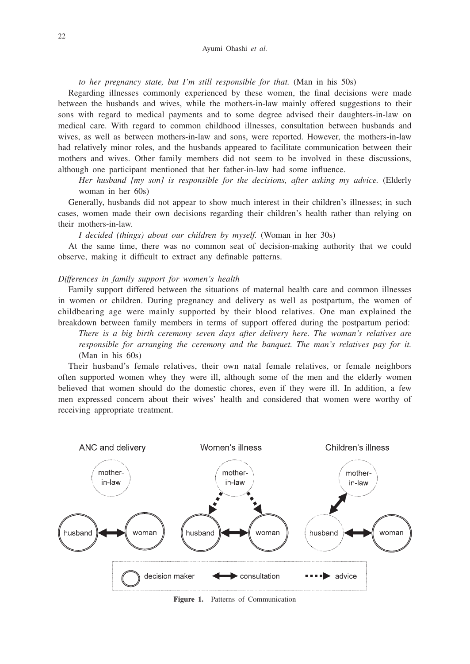*to her pregnancy state, but I'm still responsible for that.* (Man in his 50s)

Regarding illnesses commonly experienced by these women, the final decisions were made between the husbands and wives, while the mothers-in-law mainly offered suggestions to their sons with regard to medical payments and to some degree advised their daughters-in-law on medical care. With regard to common childhood illnesses, consultation between husbands and wives, as well as between mothers-in-law and sons, were reported. However, the mothers-in-law had relatively minor roles, and the husbands appeared to facilitate communication between their mothers and wives. Other family members did not seem to be involved in these discussions, although one participant mentioned that her father-in-law had some influence.

*Her husband [my son] is responsible for the decisions, after asking my advice.* (Elderly woman in her 60s)

Generally, husbands did not appear to show much interest in their children's illnesses; in such cases, women made their own decisions regarding their children's health rather than relying on their mothers-in-law.

*I decided (things) about our children by myself.* (Woman in her 30s)

At the same time, there was no common seat of decision-making authority that we could observe, making it difficult to extract any definable patterns.

#### *Differences in family support for women's health*

Family support differed between the situations of maternal health care and common illnesses in women or children. During pregnancy and delivery as well as postpartum, the women of childbearing age were mainly supported by their blood relatives. One man explained the breakdown between family members in terms of support offered during the postpartum period:

*There is a big birth ceremony seven days after delivery here. The woman's relatives are responsible for arranging the ceremony and the banquet. The man's relatives pay for it.*  (Man in his 60s)

Their husband's female relatives, their own natal female relatives, or female neighbors often supported women whey they were ill, although some of the men and the elderly women believed that women should do the domestic chores, even if they were ill. In addition, a few men expressed concern about their wives' health and considered that women were worthy of receiving appropriate treatment.



**Figure 1.** Patterns of Communication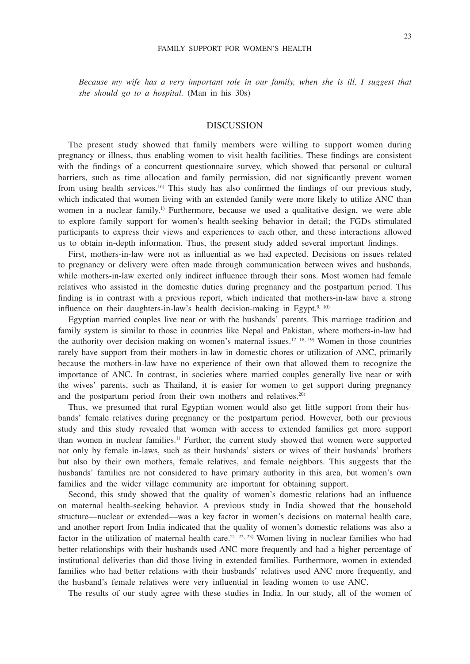*Because my wife has a very important role in our family, when she is ill, I suggest that she should go to a hospital.* (Man in his 30s)

## DISCUSSION

The present study showed that family members were willing to support women during pregnancy or illness, thus enabling women to visit health facilities. These findings are consistent with the findings of a concurrent questionnaire survey, which showed that personal or cultural barriers, such as time allocation and family permission, did not significantly prevent women from using health services.16) This study has also confirmed the findings of our previous study, which indicated that women living with an extended family were more likely to utilize ANC than women in a nuclear family.<sup>1)</sup> Furthermore, because we used a qualitative design, we were able to explore family support for women's health-seeking behavior in detail; the FGDs stimulated participants to express their views and experiences to each other, and these interactions allowed us to obtain in-depth information. Thus, the present study added several important findings.

First, mothers-in-law were not as influential as we had expected. Decisions on issues related to pregnancy or delivery were often made through communication between wives and husbands, while mothers-in-law exerted only indirect influence through their sons. Most women had female relatives who assisted in the domestic duties during pregnancy and the postpartum period. This finding is in contrast with a previous report, which indicated that mothers-in-law have a strong influence on their daughters-in-law's health decision-making in Egypt.<sup>9, 10)</sup>

Egyptian married couples live near or with the husbands' parents. This marriage tradition and family system is similar to those in countries like Nepal and Pakistan, where mothers-in-law had the authority over decision making on women's maternal issues.<sup>17, 18, 19)</sup> Women in those countries rarely have support from their mothers-in-law in domestic chores or utilization of ANC, primarily because the mothers-in-law have no experience of their own that allowed them to recognize the importance of ANC. In contrast, in societies where married couples generally live near or with the wives' parents, such as Thailand, it is easier for women to get support during pregnancy and the postpartum period from their own mothers and relatives.<sup>20)</sup>

Thus, we presumed that rural Egyptian women would also get little support from their husbands' female relatives during pregnancy or the postpartum period. However, both our previous study and this study revealed that women with access to extended families get more support than women in nuclear families.1) Further, the current study showed that women were supported not only by female in-laws, such as their husbands' sisters or wives of their husbands' brothers but also by their own mothers, female relatives, and female neighbors. This suggests that the husbands' families are not considered to have primary authority in this area, but women's own families and the wider village community are important for obtaining support.

Second, this study showed that the quality of women's domestic relations had an influence on maternal health-seeking behavior. A previous study in India showed that the household structure—nuclear or extended—was a key factor in women's decisions on maternal health care, and another report from India indicated that the quality of women's domestic relations was also a factor in the utilization of maternal health care.<sup>21, 22, 23)</sup> Women living in nuclear families who had better relationships with their husbands used ANC more frequently and had a higher percentage of institutional deliveries than did those living in extended families. Furthermore, women in extended families who had better relations with their husbands' relatives used ANC more frequently, and the husband's female relatives were very influential in leading women to use ANC.

The results of our study agree with these studies in India. In our study, all of the women of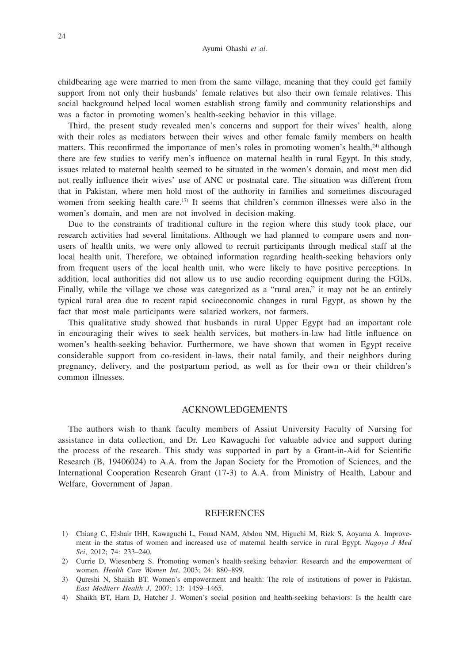childbearing age were married to men from the same village, meaning that they could get family support from not only their husbands' female relatives but also their own female relatives. This social background helped local women establish strong family and community relationships and was a factor in promoting women's health-seeking behavior in this village.

Third, the present study revealed men's concerns and support for their wives' health, along with their roles as mediators between their wives and other female family members on health matters. This reconfirmed the importance of men's roles in promoting women's health,<sup>24)</sup> although there are few studies to verify men's influence on maternal health in rural Egypt. In this study, issues related to maternal health seemed to be situated in the women's domain, and most men did not really influence their wives' use of ANC or postnatal care. The situation was different from that in Pakistan, where men hold most of the authority in families and sometimes discouraged women from seeking health care.<sup>17)</sup> It seems that children's common illnesses were also in the women's domain, and men are not involved in decision-making.

Due to the constraints of traditional culture in the region where this study took place, our research activities had several limitations. Although we had planned to compare users and nonusers of health units, we were only allowed to recruit participants through medical staff at the local health unit. Therefore, we obtained information regarding health-seeking behaviors only from frequent users of the local health unit, who were likely to have positive perceptions. In addition, local authorities did not allow us to use audio recording equipment during the FGDs. Finally, while the village we chose was categorized as a "rural area," it may not be an entirely typical rural area due to recent rapid socioeconomic changes in rural Egypt, as shown by the fact that most male participants were salaried workers, not farmers.

This qualitative study showed that husbands in rural Upper Egypt had an important role in encouraging their wives to seek health services, but mothers-in-law had little influence on women's health-seeking behavior. Furthermore, we have shown that women in Egypt receive considerable support from co-resident in-laws, their natal family, and their neighbors during pregnancy, delivery, and the postpartum period, as well as for their own or their children's common illnesses.

## ACKNOWLEDGEMENTS

The authors wish to thank faculty members of Assiut University Faculty of Nursing for assistance in data collection, and Dr. Leo Kawaguchi for valuable advice and support during the process of the research. This study was supported in part by a Grant-in-Aid for Scientific Research (B, 19406024) to A.A. from the Japan Society for the Promotion of Sciences, and the International Cooperation Research Grant (17-3) to A.A. from Ministry of Health, Labour and Welfare, Government of Japan.

## REFERENCES

- 1) Chiang C, Elshair IHH, Kawaguchi L, Fouad NAM, Abdou NM, Higuchi M, Rizk S, Aoyama A. Improvement in the status of women and increased use of maternal health service in rural Egypt. *Nagoya J Med Sci*, 2012; 74: 233–240.
- 2) Currie D, Wiesenberg S. Promoting women's health-seeking behavior: Research and the empowerment of women. *Health Care Women Int*, 2003; 24: 880–899.
- 3) Qureshi N, Shaikh BT. Women's empowerment and health: The role of institutions of power in Pakistan. *East Mediterr Health J*, 2007; 13: 1459–1465.
- 4) Shaikh BT, Harn D, Hatcher J. Women's social position and health-seeking behaviors: Is the health care